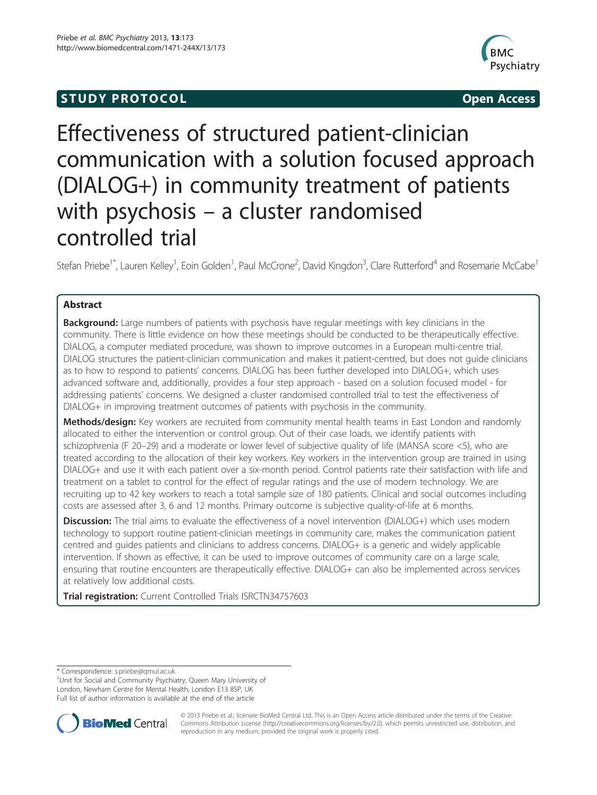## **STUDY PROTOCOL CONSUMING THE STUDY PROTOCOL**



# Effectiveness of structured patient-clinician communication with a solution focused approach (DIALOG+) in community treatment of patients with psychosis – a cluster randomised controlled trial

Stefan Priebe<sup>1\*</sup>, Lauren Kelley<sup>1</sup>, Eoin Golden<sup>1</sup>, Paul McCrone<sup>2</sup>, David Kingdon<sup>3</sup>, Clare Rutterford<sup>4</sup> and Rosemarie McCabe<sup>1</sup>

## Abstract

**Background:** Large numbers of patients with psychosis have regular meetings with key clinicians in the community. There is little evidence on how these meetings should be conducted to be therapeutically effective. DIALOG, a computer mediated procedure, was shown to improve outcomes in a European multi-centre trial. DIALOG structures the patient-clinician communication and makes it patient-centred, but does not guide clinicians as to how to respond to patients' concerns. DIALOG has been further developed into DIALOG+, which uses advanced software and, additionally, provides a four step approach - based on a solution focused model - for addressing patients' concerns. We designed a cluster randomised controlled trial to test the effectiveness of DIALOG+ in improving treatment outcomes of patients with psychosis in the community.

Methods/design: Key workers are recruited from community mental health teams in East London and randomly allocated to either the intervention or control group. Out of their case loads, we identify patients with schizophrenia (F 20–29) and a moderate or lower level of subjective quality of life (MANSA score <5), who are treated according to the allocation of their key workers. Key workers in the intervention group are trained in using DIALOG+ and use it with each patient over a six-month period. Control patients rate their satisfaction with life and treatment on a tablet to control for the effect of regular ratings and the use of modern technology. We are recruiting up to 42 key workers to reach a total sample size of 180 patients. Clinical and social outcomes including costs are assessed after 3, 6 and 12 months. Primary outcome is subjective quality-of-life at 6 months.

Discussion: The trial aims to evaluate the effectiveness of a novel intervention (DIALOG+) which uses modern technology to support routine patient-clinician meetings in community care, makes the communication patient centred and guides patients and clinicians to address concerns. DIALOG+ is a generic and widely applicable intervention. If shown as effective, it can be used to improve outcomes of community care on a large scale, ensuring that routine encounters are therapeutically effective. DIALOG+ can also be implemented across services at relatively low additional costs.

Trial registration: Current Controlled Trials [ISRCTN34757603](http://controlled-trials.com/ISRCTN34757603)

\* Correspondence: [s.priebe@qmul.ac.uk](mailto:s.priebe@qmul.ac.uk) <sup>1</sup>

<sup>1</sup>Unit for Social and Community Psychiatry, Queen Mary University of London, Newham Centre for Mental Health, London E13 8SP, UK Full list of author information is available at the end of the article



© 2013 Priebe et al.; licensee BioMed Central Ltd. This is an Open Access article distributed under the terms of the Creative Commons Attribution License [\(http://creativecommons.org/licenses/by/2.0\)](http://creativecommons.org/licenses/by/2.0), which permits unrestricted use, distribution, and reproduction in any medium, provided the original work is properly cited.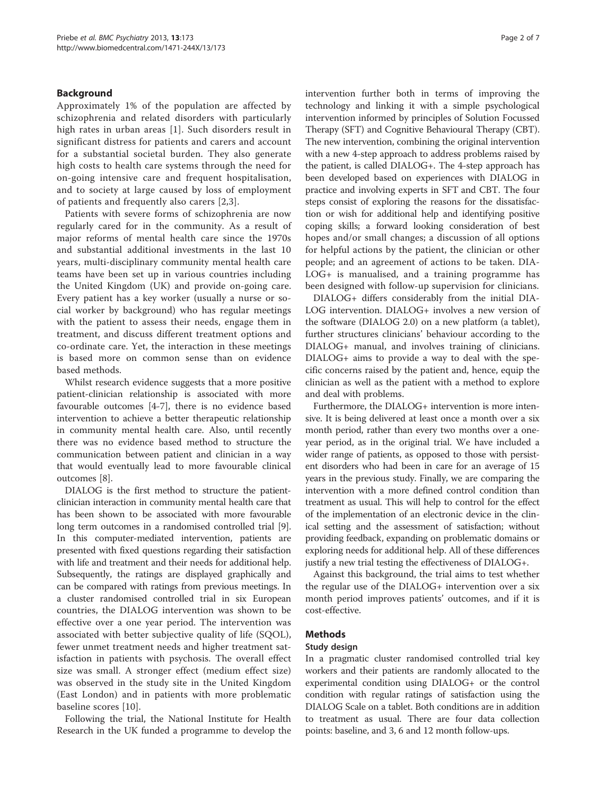## Background

Approximately 1% of the population are affected by schizophrenia and related disorders with particularly high rates in urban areas [[1\]](#page-5-0). Such disorders result in significant distress for patients and carers and account for a substantial societal burden. They also generate high costs to health care systems through the need for on-going intensive care and frequent hospitalisation, and to society at large caused by loss of employment of patients and frequently also carers [[2,3](#page-5-0)].

Patients with severe forms of schizophrenia are now regularly cared for in the community. As a result of major reforms of mental health care since the 1970s and substantial additional investments in the last 10 years, multi-disciplinary community mental health care teams have been set up in various countries including the United Kingdom (UK) and provide on-going care. Every patient has a key worker (usually a nurse or social worker by background) who has regular meetings with the patient to assess their needs, engage them in treatment, and discuss different treatment options and co-ordinate care. Yet, the interaction in these meetings is based more on common sense than on evidence based methods.

Whilst research evidence suggests that a more positive patient-clinician relationship is associated with more favourable outcomes [\[4](#page-5-0)-[7\]](#page-5-0), there is no evidence based intervention to achieve a better therapeutic relationship in community mental health care. Also, until recently there was no evidence based method to structure the communication between patient and clinician in a way that would eventually lead to more favourable clinical outcomes [\[8](#page-5-0)].

DIALOG is the first method to structure the patientclinician interaction in community mental health care that has been shown to be associated with more favourable long term outcomes in a randomised controlled trial [[9](#page-5-0)]. In this computer-mediated intervention, patients are presented with fixed questions regarding their satisfaction with life and treatment and their needs for additional help. Subsequently, the ratings are displayed graphically and can be compared with ratings from previous meetings. In a cluster randomised controlled trial in six European countries, the DIALOG intervention was shown to be effective over a one year period. The intervention was associated with better subjective quality of life (SQOL), fewer unmet treatment needs and higher treatment satisfaction in patients with psychosis. The overall effect size was small. A stronger effect (medium effect size) was observed in the study site in the United Kingdom (East London) and in patients with more problematic baseline scores [[10](#page-5-0)].

Following the trial, the National Institute for Health Research in the UK funded a programme to develop the intervention further both in terms of improving the technology and linking it with a simple psychological intervention informed by principles of Solution Focussed Therapy (SFT) and Cognitive Behavioural Therapy (CBT). The new intervention, combining the original intervention with a new 4-step approach to address problems raised by the patient, is called DIALOG+. The 4-step approach has been developed based on experiences with DIALOG in practice and involving experts in SFT and CBT. The four steps consist of exploring the reasons for the dissatisfaction or wish for additional help and identifying positive coping skills; a forward looking consideration of best hopes and/or small changes; a discussion of all options for helpful actions by the patient, the clinician or other people; and an agreement of actions to be taken. DIA-LOG+ is manualised, and a training programme has been designed with follow-up supervision for clinicians.

DIALOG+ differs considerably from the initial DIA-LOG intervention. DIALOG+ involves a new version of the software (DIALOG 2.0) on a new platform (a tablet), further structures clinicians' behaviour according to the DIALOG+ manual, and involves training of clinicians. DIALOG+ aims to provide a way to deal with the specific concerns raised by the patient and, hence, equip the clinician as well as the patient with a method to explore and deal with problems.

Furthermore, the DIALOG+ intervention is more intensive. It is being delivered at least once a month over a six month period, rather than every two months over a oneyear period, as in the original trial. We have included a wider range of patients, as opposed to those with persistent disorders who had been in care for an average of 15 years in the previous study. Finally, we are comparing the intervention with a more defined control condition than treatment as usual. This will help to control for the effect of the implementation of an electronic device in the clinical setting and the assessment of satisfaction; without providing feedback, expanding on problematic domains or exploring needs for additional help. All of these differences justify a new trial testing the effectiveness of DIALOG+.

Against this background, the trial aims to test whether the regular use of the DIALOG+ intervention over a six month period improves patients' outcomes, and if it is cost-effective.

## Methods

## Study design

In a pragmatic cluster randomised controlled trial key workers and their patients are randomly allocated to the experimental condition using DIALOG+ or the control condition with regular ratings of satisfaction using the DIALOG Scale on a tablet. Both conditions are in addition to treatment as usual. There are four data collection points: baseline, and 3, 6 and 12 month follow-ups.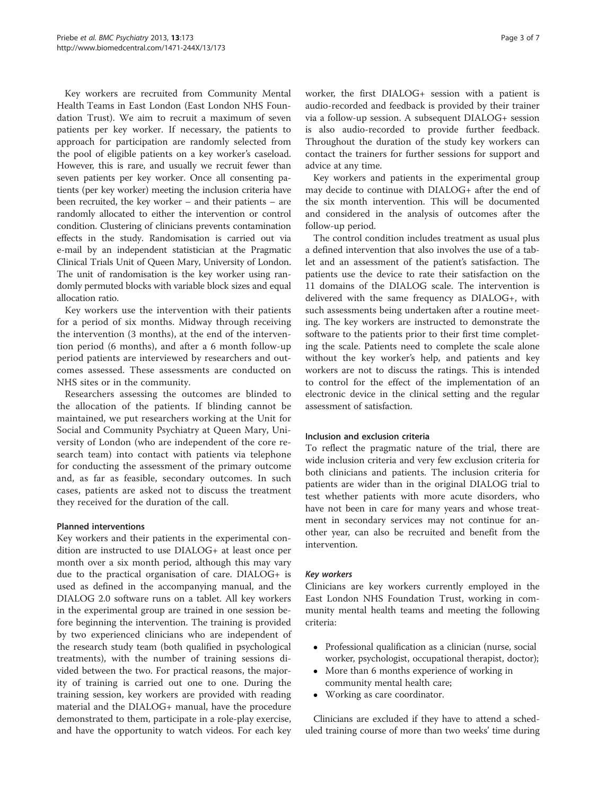Key workers are recruited from Community Mental Health Teams in East London (East London NHS Foundation Trust). We aim to recruit a maximum of seven patients per key worker. If necessary, the patients to approach for participation are randomly selected from the pool of eligible patients on a key worker's caseload. However, this is rare, and usually we recruit fewer than seven patients per key worker. Once all consenting patients (per key worker) meeting the inclusion criteria have been recruited, the key worker – and their patients – are randomly allocated to either the intervention or control condition. Clustering of clinicians prevents contamination effects in the study. Randomisation is carried out via e-mail by an independent statistician at the Pragmatic Clinical Trials Unit of Queen Mary, University of London. The unit of randomisation is the key worker using randomly permuted blocks with variable block sizes and equal allocation ratio.

Key workers use the intervention with their patients for a period of six months. Midway through receiving the intervention (3 months), at the end of the intervention period (6 months), and after a 6 month follow-up period patients are interviewed by researchers and outcomes assessed. These assessments are conducted on NHS sites or in the community.

Researchers assessing the outcomes are blinded to the allocation of the patients. If blinding cannot be maintained, we put researchers working at the Unit for Social and Community Psychiatry at Queen Mary, University of London (who are independent of the core research team) into contact with patients via telephone for conducting the assessment of the primary outcome and, as far as feasible, secondary outcomes. In such cases, patients are asked not to discuss the treatment they received for the duration of the call.

#### Planned interventions

Key workers and their patients in the experimental condition are instructed to use DIALOG+ at least once per month over a six month period, although this may vary due to the practical organisation of care. DIALOG+ is used as defined in the accompanying manual, and the DIALOG 2.0 software runs on a tablet. All key workers in the experimental group are trained in one session before beginning the intervention. The training is provided by two experienced clinicians who are independent of the research study team (both qualified in psychological treatments), with the number of training sessions divided between the two. For practical reasons, the majority of training is carried out one to one. During the training session, key workers are provided with reading material and the DIALOG+ manual, have the procedure demonstrated to them, participate in a role-play exercise, and have the opportunity to watch videos. For each key worker, the first DIALOG+ session with a patient is audio-recorded and feedback is provided by their trainer via a follow-up session. A subsequent DIALOG+ session is also audio-recorded to provide further feedback. Throughout the duration of the study key workers can contact the trainers for further sessions for support and advice at any time.

Key workers and patients in the experimental group may decide to continue with DIALOG+ after the end of the six month intervention. This will be documented and considered in the analysis of outcomes after the follow-up period.

The control condition includes treatment as usual plus a defined intervention that also involves the use of a tablet and an assessment of the patient's satisfaction. The patients use the device to rate their satisfaction on the 11 domains of the DIALOG scale. The intervention is delivered with the same frequency as DIALOG+, with such assessments being undertaken after a routine meeting. The key workers are instructed to demonstrate the software to the patients prior to their first time completing the scale. Patients need to complete the scale alone without the key worker's help, and patients and key workers are not to discuss the ratings. This is intended to control for the effect of the implementation of an electronic device in the clinical setting and the regular assessment of satisfaction.

#### Inclusion and exclusion criteria

To reflect the pragmatic nature of the trial, there are wide inclusion criteria and very few exclusion criteria for both clinicians and patients. The inclusion criteria for patients are wider than in the original DIALOG trial to test whether patients with more acute disorders, who have not been in care for many years and whose treatment in secondary services may not continue for another year, can also be recruited and benefit from the intervention.

#### Key workers

Clinicians are key workers currently employed in the East London NHS Foundation Trust, working in community mental health teams and meeting the following criteria:

- Professional qualification as a clinician (nurse, social worker, psychologist, occupational therapist, doctor);
- More than 6 months experience of working in community mental health care;
- Working as care coordinator.

Clinicians are excluded if they have to attend a scheduled training course of more than two weeks' time during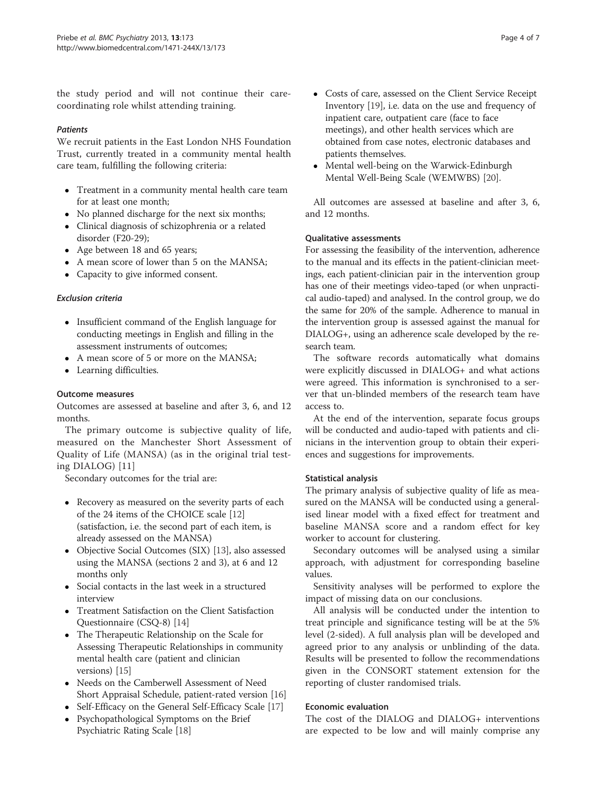the study period and will not continue their carecoordinating role whilst attending training.

#### **Patients**

We recruit patients in the East London NHS Foundation Trust, currently treated in a community mental health care team, fulfilling the following criteria:

- Treatment in a community mental health care team for at least one month;
- No planned discharge for the next six months;
- Clinical diagnosis of schizophrenia or a related disorder (F20-29);
- Age between 18 and 65 years;
- A mean score of lower than 5 on the MANSA;
- Capacity to give informed consent.

## Exclusion criteria

- Insufficient command of the English language for conducting meetings in English and filling in the assessment instruments of outcomes;
- A mean score of 5 or more on the MANSA;
- Learning difficulties.

## Outcome measures

Outcomes are assessed at baseline and after 3, 6, and 12 months.

The primary outcome is subjective quality of life, measured on the Manchester Short Assessment of Quality of Life (MANSA) (as in the original trial testing DIALOG) [\[11\]](#page-5-0)

Secondary outcomes for the trial are:

- Recovery as measured on the severity parts of each of the 24 items of the CHOICE scale [[12](#page-5-0)] (satisfaction, i.e. the second part of each item, is already assessed on the MANSA)
- Objective Social Outcomes (SIX) [[13](#page-5-0)], also assessed using the MANSA (sections 2 and 3), at 6 and 12 months only
- Social contacts in the last week in a structured interview
- Treatment Satisfaction on the Client Satisfaction Questionnaire (CSQ-8) [\[14\]](#page-5-0)
- The Therapeutic Relationship on the Scale for Assessing Therapeutic Relationships in community mental health care (patient and clinician versions) [[15](#page-5-0)]
- Needs on the Camberwell Assessment of Need Short Appraisal Schedule, patient-rated version [\[16\]](#page-5-0)
- Self-Efficacy on the General Self-Efficacy Scale [\[17\]](#page-5-0)
- Psychopathological Symptoms on the Brief Psychiatric Rating Scale [\[18\]](#page-6-0)
- Costs of care, assessed on the Client Service Receipt Inventory [[19](#page-6-0)], i.e. data on the use and frequency of inpatient care, outpatient care (face to face meetings), and other health services which are obtained from case notes, electronic databases and patients themselves.
- Mental well-being on the Warwick-Edinburgh Mental Well-Being Scale (WEMWBS) [\[20\]](#page-6-0).

All outcomes are assessed at baseline and after 3, 6, and 12 months.

## Qualitative assessments

For assessing the feasibility of the intervention, adherence to the manual and its effects in the patient-clinician meetings, each patient-clinician pair in the intervention group has one of their meetings video-taped (or when unpractical audio-taped) and analysed. In the control group, we do the same for 20% of the sample. Adherence to manual in the intervention group is assessed against the manual for DIALOG+, using an adherence scale developed by the research team.

The software records automatically what domains were explicitly discussed in DIALOG+ and what actions were agreed. This information is synchronised to a server that un-blinded members of the research team have access to.

At the end of the intervention, separate focus groups will be conducted and audio-taped with patients and clinicians in the intervention group to obtain their experiences and suggestions for improvements.

## Statistical analysis

The primary analysis of subjective quality of life as measured on the MANSA will be conducted using a generalised linear model with a fixed effect for treatment and baseline MANSA score and a random effect for key worker to account for clustering.

Secondary outcomes will be analysed using a similar approach, with adjustment for corresponding baseline values.

Sensitivity analyses will be performed to explore the impact of missing data on our conclusions.

All analysis will be conducted under the intention to treat principle and significance testing will be at the 5% level (2-sided). A full analysis plan will be developed and agreed prior to any analysis or unblinding of the data. Results will be presented to follow the recommendations given in the CONSORT statement extension for the reporting of cluster randomised trials.

## Economic evaluation

The cost of the DIALOG and DIALOG+ interventions are expected to be low and will mainly comprise any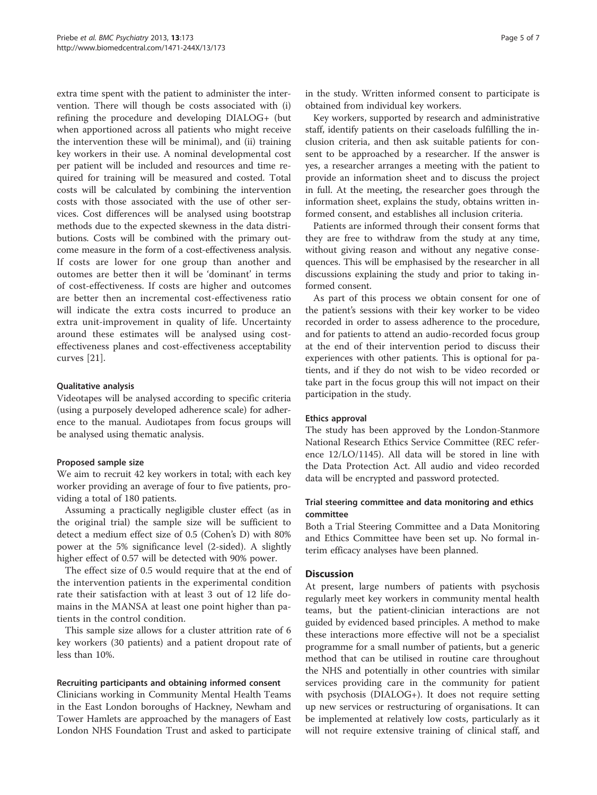extra time spent with the patient to administer the intervention. There will though be costs associated with (i) refining the procedure and developing DIALOG+ (but when apportioned across all patients who might receive the intervention these will be minimal), and (ii) training key workers in their use. A nominal developmental cost per patient will be included and resources and time required for training will be measured and costed. Total costs will be calculated by combining the intervention costs with those associated with the use of other services. Cost differences will be analysed using bootstrap methods due to the expected skewness in the data distributions. Costs will be combined with the primary outcome measure in the form of a cost-effectiveness analysis. If costs are lower for one group than another and outomes are better then it will be 'dominant' in terms of cost-effectiveness. If costs are higher and outcomes are better then an incremental cost-effectiveness ratio will indicate the extra costs incurred to produce an extra unit-improvement in quality of life. Uncertainty around these estimates will be analysed using costeffectiveness planes and cost-effectiveness acceptability curves [[21\]](#page-6-0).

## Qualitative analysis

Videotapes will be analysed according to specific criteria (using a purposely developed adherence scale) for adherence to the manual. Audiotapes from focus groups will be analysed using thematic analysis.

## Proposed sample size

We aim to recruit 42 key workers in total; with each key worker providing an average of four to five patients, providing a total of 180 patients.

Assuming a practically negligible cluster effect (as in the original trial) the sample size will be sufficient to detect a medium effect size of 0.5 (Cohen's D) with 80% power at the 5% significance level (2-sided). A slightly higher effect of 0.57 will be detected with 90% power.

The effect size of 0.5 would require that at the end of the intervention patients in the experimental condition rate their satisfaction with at least 3 out of 12 life domains in the MANSA at least one point higher than patients in the control condition.

This sample size allows for a cluster attrition rate of 6 key workers (30 patients) and a patient dropout rate of less than 10%.

#### Recruiting participants and obtaining informed consent

Clinicians working in Community Mental Health Teams in the East London boroughs of Hackney, Newham and Tower Hamlets are approached by the managers of East London NHS Foundation Trust and asked to participate in the study. Written informed consent to participate is obtained from individual key workers.

Key workers, supported by research and administrative staff, identify patients on their caseloads fulfilling the inclusion criteria, and then ask suitable patients for consent to be approached by a researcher. If the answer is yes, a researcher arranges a meeting with the patient to provide an information sheet and to discuss the project in full. At the meeting, the researcher goes through the information sheet, explains the study, obtains written informed consent, and establishes all inclusion criteria.

Patients are informed through their consent forms that they are free to withdraw from the study at any time, without giving reason and without any negative consequences. This will be emphasised by the researcher in all discussions explaining the study and prior to taking informed consent.

As part of this process we obtain consent for one of the patient's sessions with their key worker to be video recorded in order to assess adherence to the procedure, and for patients to attend an audio-recorded focus group at the end of their intervention period to discuss their experiences with other patients. This is optional for patients, and if they do not wish to be video recorded or take part in the focus group this will not impact on their participation in the study.

#### Ethics approval

The study has been approved by the London-Stanmore National Research Ethics Service Committee (REC reference 12/LO/1145). All data will be stored in line with the Data Protection Act. All audio and video recorded data will be encrypted and password protected.

## Trial steering committee and data monitoring and ethics committee

Both a Trial Steering Committee and a Data Monitoring and Ethics Committee have been set up. No formal interim efficacy analyses have been planned.

## **Discussion**

At present, large numbers of patients with psychosis regularly meet key workers in community mental health teams, but the patient-clinician interactions are not guided by evidenced based principles. A method to make these interactions more effective will not be a specialist programme for a small number of patients, but a generic method that can be utilised in routine care throughout the NHS and potentially in other countries with similar services providing care in the community for patient with psychosis (DIALOG+). It does not require setting up new services or restructuring of organisations. It can be implemented at relatively low costs, particularly as it will not require extensive training of clinical staff, and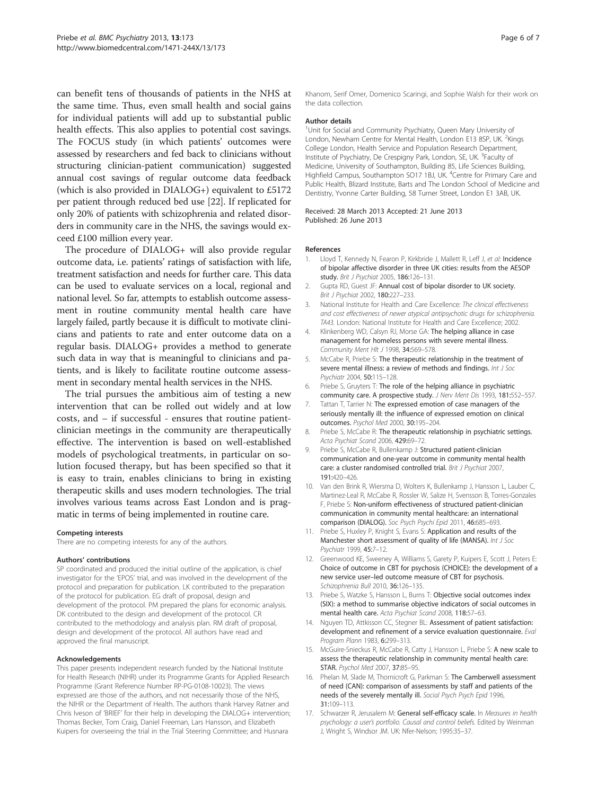<span id="page-5-0"></span>can benefit tens of thousands of patients in the NHS at the same time. Thus, even small health and social gains for individual patients will add up to substantial public health effects. This also applies to potential cost savings. The FOCUS study (in which patients' outcomes were assessed by researchers and fed back to clinicians without structuring clinician-patient communication) suggested annual cost savings of regular outcome data feedback (which is also provided in DIALOG+) equivalent to £5172 per patient through reduced bed use [\[22\]](#page-6-0). If replicated for only 20% of patients with schizophrenia and related disorders in community care in the NHS, the savings would exceed £100 million every year.

The procedure of DIALOG+ will also provide regular outcome data, i.e. patients' ratings of satisfaction with life, treatment satisfaction and needs for further care. This data can be used to evaluate services on a local, regional and national level. So far, attempts to establish outcome assessment in routine community mental health care have largely failed, partly because it is difficult to motivate clinicians and patients to rate and enter outcome data on a regular basis. DIALOG+ provides a method to generate such data in way that is meaningful to clinicians and patients, and is likely to facilitate routine outcome assessment in secondary mental health services in the NHS.

The trial pursues the ambitious aim of testing a new intervention that can be rolled out widely and at low costs, and – if successful - ensures that routine patientclinician meetings in the community are therapeutically effective. The intervention is based on well-established models of psychological treatments, in particular on solution focused therapy, but has been specified so that it is easy to train, enables clinicians to bring in existing therapeutic skills and uses modern technologies. The trial involves various teams across East London and is pragmatic in terms of being implemented in routine care.

#### Competing interests

There are no competing interests for any of the authors.

#### Authors' contributions

SP coordinated and produced the initial outline of the application, is chief investigator for the 'EPOS' trial, and was involved in the development of the protocol and preparation for publication. LK contributed to the preparation of the protocol for publication. EG draft of proposal, design and development of the protocol. PM prepared the plans for economic analysis. DK contributed to the design and development of the protocol. CR contributed to the methodology and analysis plan. RM draft of proposal, design and development of the protocol. All authors have read and approved the final manuscript.

#### Acknowledgements

This paper presents independent research funded by the National Institute for Health Research (NIHR) under its Programme Grants for Applied Research Programme (Grant Reference Number RP-PG-0108-10023). The views expressed are those of the authors, and not necessarily those of the NHS, the NIHR or the Department of Health. The authors thank Harvey Ratner and Chris Iveson of 'BRIEF' for their help in developing the DIALOG+ intervention; Thomas Becker, Tom Craig, Daniel Freeman, Lars Hansson, and Elizabeth Kuipers for overseeing the trial in the Trial Steering Committee; and Husnara

Khanom, Serif Omer, Domenico Scaringi, and Sophie Walsh for their work on the data collection.

#### Author details

<sup>1</sup>Unit for Social and Community Psychiatry, Queen Mary University of London, Newham Centre for Mental Health, London E13 8SP, UK. <sup>2</sup>Kings College London, Health Service and Population Research Department, Institute of Psychiatry, De Crespigny Park, London, SE, UK. <sup>3</sup>Faculty of Medicine, University of Southampton, Building 85, Life Sciences Building, Highfield Campus, Southampton SO17 1BJ, UK. <sup>4</sup>Centre for Primary Care and Public Health, Blizard Institute, Barts and The London School of Medicine and Dentistry, Yvonne Carter Building, 58 Turner Street, London E1 3AB, UK.

#### Received: 28 March 2013 Accepted: 21 June 2013 Published: 26 June 2013

#### References

- Lloyd T, Kennedy N, Fearon P, Kirkbride J, Mallett R, Leff J, et al: Incidence of bipolar affective disorder in three UK cities: results from the AESOP study. Brit J Psychiat 2005, 186:126-131.
- 2. Gupta RD, Guest JF: Annual cost of bipolar disorder to UK society. Brit J Psychiat 2002, 180:227–233.
- National Institute for Health and Care Excellence: The clinical effectiveness and cost effectiveness of newer atypical antipsychotic drugs for schizophrenia. TA43. London: National Institute for Health and Care Excellence; 2002.
- 4. Klinkenberg WD, Calsyn RJ, Morse GA: The helping alliance in case management for homeless persons with severe mental illness. Community Ment Hlt J 1998, 34:569–578.
- 5. McCabe R, Priebe S: The therapeutic relationship in the treatment of severe mental illness: a review of methods and findings. Int J Soc Psychiatr 2004, 50:115–128.
- 6. Priebe S, Gruyters T: The role of the helping alliance in psychiatric community care. A prospective study. J Nerv Ment Dis 1993, 181:552–557.
- 7. Tattan T, Tarrier N: The expressed emotion of case managers of the seriously mentally ill: the influence of expressed emotion on clinical outcomes. Psychol Med 2000, 30:195–204.
- 8. Priebe S, McCabe R: The therapeutic relationship in psychiatric settings. Acta Psychiat Scand 2006, 429:69–72.
- 9. Priebe S, McCabe R, Bullenkamp J: Structured patient-clinician communication and one-year outcome in community mental health care: a cluster randomised controlled trial. Brit J Psychiat 2007, 191:420–426.
- 10. Van den Brink R, Wiersma D, Wolters K, Bullenkamp J, Hansson L, Lauber C, Martinez-Leal R, McCabe R, Rossler W, Salize H, Svensson B, Torres-Gonzales F, Priebe S: Non-uniform effectiveness of structured patient-clinician communication in community mental healthcare: an international comparison (DIALOG). Soc Psych Psychi Epid 2011, 46:685–693.
- 11. Priebe S, Huxley P, Knight S, Evans S: Application and results of the Manchester short assessment of quality of life (MANSA). Int J Soc Psychiatr 1999, 45:7–12.
- 12. Greenwood KE, Sweeney A, Williams S, Garety P, Kuipers E, Scott J, Peters E: Choice of outcome in CBT for psychosis (CHOICE): the development of a new service user–led outcome measure of CBT for psychosis. Schizophrenia Bull 2010, 36:126–135.
- 13. Priebe S, Watzke S, Hansson L, Burns T: Objective social outcomes index (SIX): a method to summarise objective indicators of social outcomes in mental health care. Acta Psychiat Scand 2008, 118:57–63.
- 14. Nguyen TD, Attkisson CC, Stegner BL: Assessment of patient satisfaction: development and refinement of a service evaluation questionnaire. Eval Program Plann 1983, 6:299-313.
- 15. McGuire-Snieckus R, McCabe R, Catty J, Hansson L, Priebe S: A new scale to assess the therapeutic relationship in community mental health care: STAR. Psychol Med 2007, 37:85–95.
- 16. Phelan M, Slade M, Thornicroft G, Parkman S: The Camberwell assessment of need (CAN): comparison of assessments by staff and patients of the needs of the severely mentally ill. Social Psych Psych Epid 1996, 31:109–113.
- 17. Schwarzer R, Jerusalem M: General self-efficacy scale. In Measures in health psychology: a user's portfolio. Causal and control beliefs. Edited by Weinman J, Wright S, Windsor JM. UK: Nfer-Nelson; 1995:35–37.